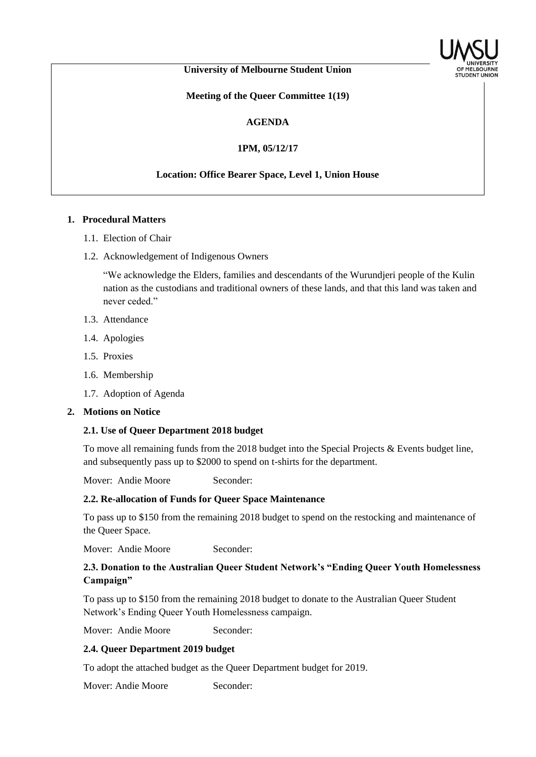

### **University of Melbourne Student Union**

**Meeting of the Queer Committee 1(19)**

#### **AGENDA**

**1PM, 05/12/17**

## **Location: Office Bearer Space, Level 1, Union House**

#### **1. Procedural Matters**

- 1.1. Election of Chair
- 1.2. Acknowledgement of Indigenous Owners

"We acknowledge the Elders, families and descendants of the Wurundjeri people of the Kulin nation as the custodians and traditional owners of these lands, and that this land was taken and never ceded."

- 1.3. Attendance
- 1.4. Apologies
- 1.5. Proxies
- 1.6. Membership
- 1.7. Adoption of Agenda

#### **2. Motions on Notice**

#### **2.1. Use of Queer Department 2018 budget**

To move all remaining funds from the 2018 budget into the Special Projects & Events budget line, and subsequently pass up to \$2000 to spend on t-shirts for the department.

Mover: Andie Moore Seconder:

#### **2.2. Re-allocation of Funds for Queer Space Maintenance**

To pass up to \$150 from the remaining 2018 budget to spend on the restocking and maintenance of the Queer Space.

Mover: Andie Moore Seconder:

## **2.3. Donation to the Australian Queer Student Network's "Ending Queer Youth Homelessness Campaign"**

To pass up to \$150 from the remaining 2018 budget to donate to the Australian Queer Student Network's Ending Queer Youth Homelessness campaign.

Mover: Andie Moore Seconder:

## **2.4. Queer Department 2019 budget**

To adopt the attached budget as the Queer Department budget for 2019.

Mover: Andie Moore Seconder: